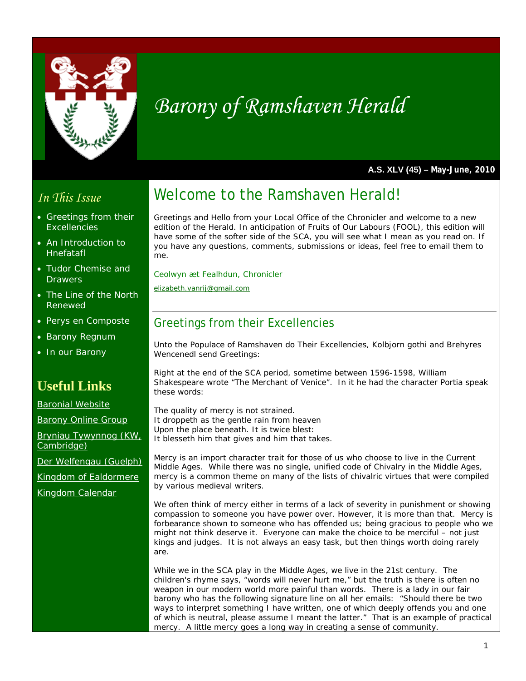

# *Barony of Ramshaven Herald*

**A.S. XLV (45) – May-June, 2010** 

# *In This Issue*

- Greetings from their **Excellencies**
- An Introduction to Hnefatafl
- Tudor Chemise and **Drawers**
- The Line of the North Renewed
- **Perys en Composte**
- Barony Regnum
- In our Barony

# **Useful Links**

Baronial Website

Barony Online Group

Bryniau Tywynnog (KW, Cambridge)

Der Welfengau (Guelph)

Kingdom of Ealdormere

Kingdom Calendar

# Welcome to the Ramshaven Herald!

Greetings and Hello from your Local Office of the Chronicler and welcome to a new edition of the Herald. In anticipation of Fruits of Our Labours (FOOL), this edition will have some of the softer side of the SCA, you will see what I mean as you read on. If you have any questions, comments, submissions or ideas, feel free to email them to me.

*Ceolwyn æt Fealhdun, Chronicler* 

*elizabeth.vanrij@gmail.com*

# Greetings from their Excellencies

Unto the Populace of Ramshaven do Their Excellencies, Kolbjorn gothi and Brehyres Wencenedl send Greetings:

Right at the end of the SCA period, sometime between 1596-1598, William Shakespeare wrote "The Merchant of Venice". In it he had the character Portia speak these words:

*The quality of mercy is not strained. It droppeth as the gentle rain from heaven Upon the place beneath. It is twice blest: It blesseth him that gives and him that takes.* 

Mercy is an import character trait for those of us who choose to live in the Current Middle Ages. While there was no single, unified code of Chivalry in the Middle Ages, mercy is a common theme on many of the lists of chivalric virtues that were compiled by various medieval writers.

We often think of mercy either in terms of a lack of severity in punishment or showing compassion to someone you have power over. However, it is more than that. Mercy is forbearance shown to someone who has offended us; being gracious to people who we might not think deserve it. Everyone can make the choice to be merciful – not just kings and judges. It is not always an easy task, but then things worth doing rarely are.

While we in the SCA play in the Middle Ages, we live in the 21st century. The children's rhyme says, "words will never hurt me," but the truth is there is often no weapon in our modern world more painful than words. There is a lady in our fair barony who has the following signature line on all her emails: "Should there be two ways to interpret something I have written, one of which deeply offends you and one of which is neutral, please assume I meant the latter." That is an example of practical mercy. A little mercy goes a long way in creating a sense of community.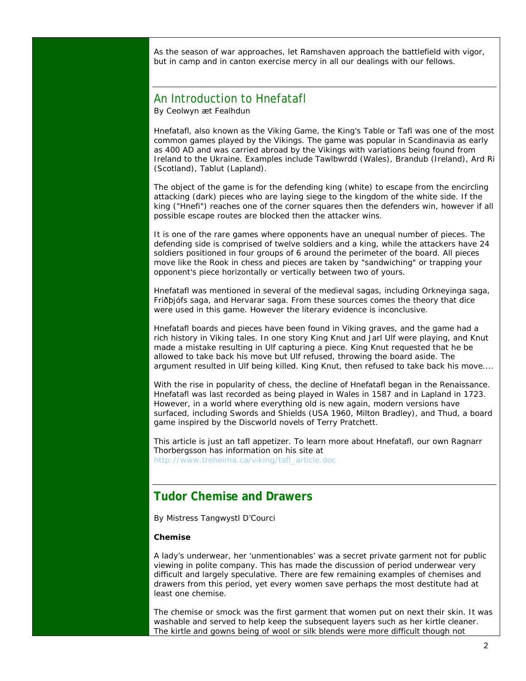As the season of war approaches, let Ramshaven approach the battlefield with vigor, but in camp and in canton exercise mercy in all our dealings with our fellows.

### An Introduction to Hnefatafl

By Ceolwyn æt Fealhdun

Hnefatafl, also known as the Viking Game, the King's Table or Tafl was one of the most common games played by the Vikings. The game was popular in Scandinavia as early as 400 AD and was carried abroad by the Vikings with variations being found from Ireland to the Ukraine. Examples include Tawlbwrdd (Wales), Brandub (Ireland), Ard Ri (Scotland), Tablut (Lapland).

The object of the game is for the defending king (white) to escape from the encircling attacking (dark) pieces who are laying siege to the kingdom of the white side. If the king ("Hnefi") reaches one of the corner squares then the defenders win, however if all possible escape routes are blocked then the attacker wins.

It is one of the rare games where opponents have an unequal number of pieces. The defending side is comprised of twelve soldiers and a king, while the attackers have 24 soldiers positioned in four groups of 6 around the perimeter of the board. All pieces move like the Rook in chess and pieces are taken by "sandwiching" or trapping your opponent's piece horizontally or vertically between two of yours.

Hnefatafl was mentioned in several of the medieval sagas, including Orkneyinga saga, Friðþjófs saga, and Hervarar saga. From these sources comes the theory that dice were used in this game. However the literary evidence is inconclusive.

Hnefatafl boards and pieces have been found in Viking graves, and the game had a rich history in Viking tales. In one story King Knut and Jarl Ulf were playing, and Knut made a mistake resulting in Ulf capturing a piece. King Knut requested that he be allowed to take back his move but Ulf refused, throwing the board aside. The argument resulted in Ulf being killed. King Knut, then refused to take back his move....

With the rise in popularity of chess, the decline of Hnefatafl began in the Renaissance. Hnefatafl was last recorded as being played in Wales in 1587 and in Lapland in 1723. However, in a world where everything old is new again, modern versions have surfaced, including Swords and Shields (USA 1960, Milton Bradley), and Thud, a board game inspired by the Discworld novels of Terry Pratchett.

This article is just an tafl appetizer. To learn more about Hnefatafl, our own Ragnarr Thorbergsson has information on his site at http://www.treheima.ca/viking/tafl\_article.doc

# **Tudor Chemise and Drawers**

By Mistress Tangwystl D'Courci

#### **Chemise**

A lady's underwear, her 'unmentionables' was a secret private garment not for public viewing in polite company. This has made the discussion of period underwear very difficult and largely speculative. There are few remaining examples of chemises and drawers from this period, yet every women save perhaps the most destitute had at least one chemise.

The chemise or smock was the first garment that women put on next their skin. It was washable and served to help keep the subsequent layers such as her kirtle cleaner. The kirtle and gowns being of wool or silk blends were more difficult though not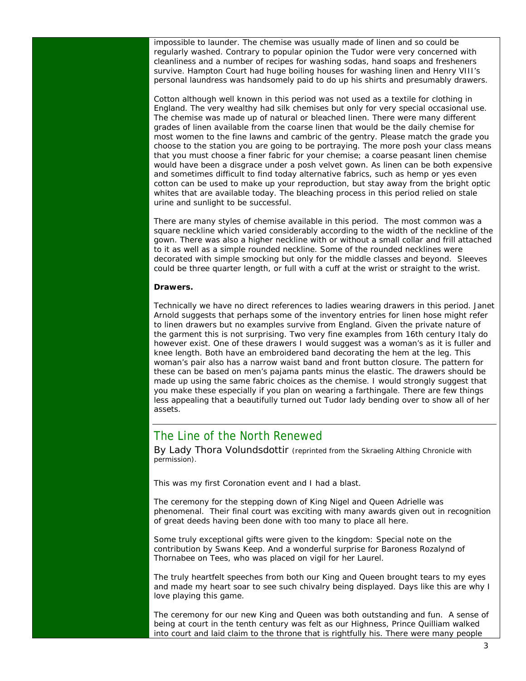impossible to launder. The chemise was usually made of linen and so could be regularly washed. Contrary to popular opinion the Tudor were very concerned with cleanliness and a number of recipes for washing sodas, hand soaps and fresheners survive. Hampton Court had huge boiling houses for washing linen and Henry VIII's personal laundress was handsomely paid to do up his shirts and presumably drawers.

Cotton although well known in this period was not used as a textile for clothing in England. The very wealthy had silk chemises but only for very special occasional use. The chemise was made up of natural or bleached linen. There were many different grades of linen available from the coarse linen that would be the daily chemise for most women to the fine lawns and cambric of the gentry. Please match the grade you choose to the station you are going to be portraying. The more posh your class means that you must choose a finer fabric for your chemise; a coarse peasant linen chemise would have been a disgrace under a posh velvet gown. As linen can be both expensive and sometimes difficult to find today alternative fabrics, such as hemp or yes even cotton can be used to make up your reproduction, but stay away from the bright optic whites that are available today. The bleaching process in this period relied on stale urine and sunlight to be successful.

There are many styles of chemise available in this period. The most common was a square neckline which varied considerably according to the width of the neckline of the gown. There was also a higher neckline with or without a small collar and frill attached to it as well as a simple rounded neckline. Some of the rounded necklines were decorated with simple smocking but only for the middle classes and beyond. Sleeves could be three quarter length, or full with a cuff at the wrist or straight to the wrist.

#### **Drawers.**

Technically we have no direct references to ladies wearing drawers in this period. Janet Arnold suggests that perhaps some of the inventory entries for linen hose might refer to linen drawers but no examples survive from England. Given the private nature of the garment this is not surprising. Two very fine examples from 16th century Italy do however exist. One of these drawers I would suggest was a woman's as it is fuller and knee length. Both have an embroidered band decorating the hem at the leg. This woman's pair also has a narrow waist band and front button closure. The pattern for these can be based on men's pajama pants minus the elastic. The drawers should be made up using the same fabric choices as the chemise. I would strongly suggest that you make these especially if you plan on wearing a farthingale. There are few things less appealing that a beautifully turned out Tudor lady bending over to show all of her assets.

### The Line of the North Renewed

By Lady Thora Volundsdottir *(reprinted from the Skraeling Althing Chronicle with permission).*

This was my first Coronation event and I had a blast.

The ceremony for the stepping down of King Nigel and Queen Adrielle was phenomenal. Their final court was exciting with many awards given out in recognition of great deeds having been done with too many to place all here.

Some truly exceptional gifts were given to the kingdom: Special note on the contribution by Swans Keep. And a wonderful surprise for Baroness Rozalynd of Thornabee on Tees, who was placed on vigil for her Laurel.

The truly heartfelt speeches from both our King and Queen brought tears to my eyes and made my heart soar to see such chivalry being displayed. Days like this are why I love playing this game.

The ceremony for our new King and Queen was both outstanding and fun. A sense of being at court in the tenth century was felt as our Highness, Prince Quilliam walked into court and laid claim to the throne that is rightfully his. There were many people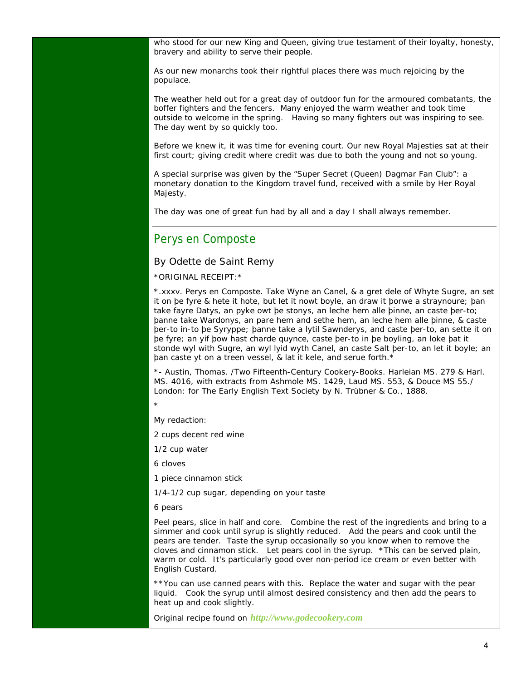who stood for our new King and Queen, giving true testament of their loyalty, honesty, bravery and ability to serve their people.

As our new monarchs took their rightful places there was much rejoicing by the populace.

The weather held out for a great day of outdoor fun for the armoured combatants, the boffer fighters and the fencers. Many enjoyed the warm weather and took time outside to welcome in the spring. Having so many fighters out was inspiring to see. The day went by so quickly too.

Before we knew it, it was time for evening court. Our new Royal Majesties sat at their first court; giving credit where credit was due to both the young and not so young.

A special surprise was given by the "Super Secret (Queen) Dagmar Fan Club": a monetary donation to the Kingdom travel fund, received with a smile by Her Royal Majesty.

The day was one of great fun had by all and a day I shall always remember.

### Perys en Composte

#### By Odette de Saint Remy

\*ORIGINAL RECEIPT:\*

\*.xxxv. Perys en Composte. Take Wyne an Canel, & a gret dele of Whyte Sugre, an set it on þe fyre & hete it hote, but let it nowt boyle, an draw it þorwe a straynoure; þan take fayre Datys, an pyke owt þe stonys, an leche hem alle þinne, an caste þer-to; þanne take Wardonys, an pare hem and sethe hem, an leche hem alle þinne, & caste þer-to in-to þe Syryppe; þanne take a lytil Sawnderys, and caste þer-to, an sette it on þe fyre; an yif þow hast charde quynce, caste þer-to in þe boyling, an loke þat it stonde wyl with Sugre, an wyl lyid wyth Canel, an caste Salt þer-to, an let it boyle; an þan caste yt on a treen vessel, & lat it kele, and serue forth.\*

\*- Austin, Thomas. /Two Fifteenth-Century Cookery-Books. Harleian MS. 279 & Harl. MS. 4016, with extracts from Ashmole MS. 1429, Laud MS. 553, & Douce MS 55./ London: for The Early English Text Society by N. Trübner & Co., 1888.

\*

My redaction:

2 cups decent red wine

1/2 cup water

6 cloves

1 piece cinnamon stick

1/4-1/2 cup sugar, depending on your taste

6 pears

Peel pears, slice in half and core. Combine the rest of the ingredients and bring to a simmer and cook until syrup is slightly reduced. Add the pears and cook until the pears are tender. Taste the syrup occasionally so you know when to remove the cloves and cinnamon stick. Let pears cool in the syrup. \*This can be served plain, warm or cold. It's particularly good over non-period ice cream or even better with English Custard.

\*\*You can use canned pears with this. Replace the water and sugar with the pear liquid. Cook the syrup until almost desired consistency and then add the pears to heat up and cook slightly.

Original recipe found on *http://www.godecookery.com*